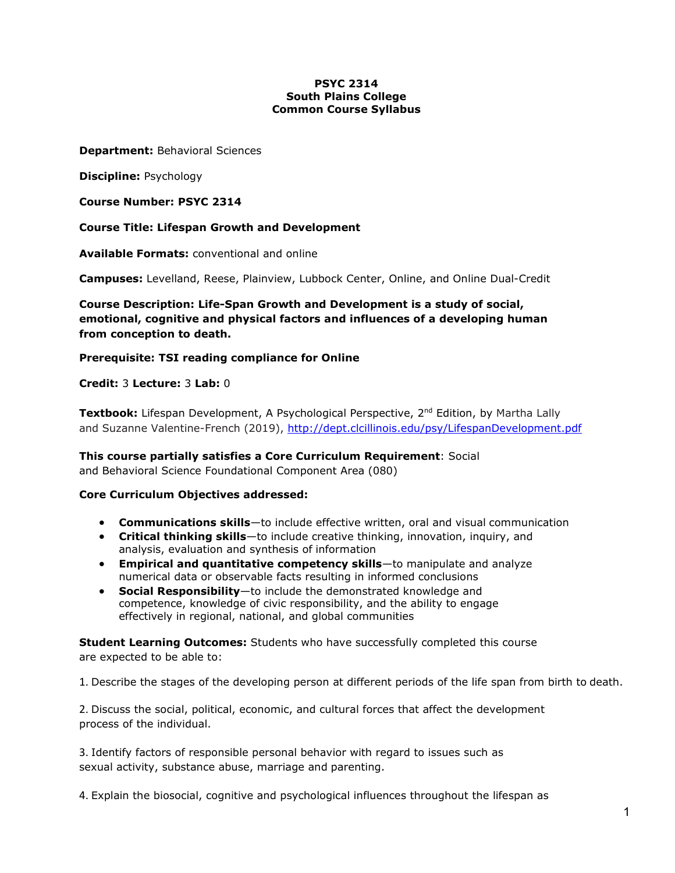### **PSYC 2314 South Plains College Common Course Syllabus**

#### **Department:** Behavioral Sciences

**Discipline:** Psychology

**Course Number: PSYC 2314**

**Course Title: Lifespan Growth and Development**

**Available Formats:** conventional and online

**Campuses:** Levelland, Reese, Plainview, Lubbock Center, Online, and Online Dual-Credit

**Course Description: Life-Span Growth and Development is a study of social, emotional, cognitive and physical factors and influences of a developing human from conception to death.**

# **Prerequisite: TSI reading compliance for Online**

**Credit:** 3 **Lecture:** 3 **Lab:** 0

**Textbook:** Lifespan Development, A Psychological Perspective, 2<sup>nd</sup> Edition, by Martha Lally and Suzanne Valentine-French (2019),<http://dept.clcillinois.edu/psy/LifespanDevelopment.pdf>

**This course partially satisfies a Core Curriculum Requirement**: Social and Behavioral Science Foundational Component Area (080)

# **Core Curriculum Objectives addressed:**

- **Communications skills**—to include effective written, oral and visual communication
- **Critical thinking skills**—to include creative thinking, innovation, inquiry, and analysis, evaluation and synthesis of information
- **Empirical and quantitative competency skills**—to manipulate and analyze numerical data or observable facts resulting in informed conclusions
- **Social Responsibility**—to include the demonstrated knowledge and competence, knowledge of civic responsibility, and the ability to engage effectively in regional, national, and global communities

**Student Learning Outcomes:** Students who have successfully completed this course are expected to be able to:

1. Describe the stages of the developing person at different periods of the life span from birth to death.

2. Discuss the social, political, economic, and cultural forces that affect the development process of the individual.

3. Identify factors of responsible personal behavior with regard to issues such as sexual activity, substance abuse, marriage and parenting.

4. Explain the biosocial, cognitive and psychological influences throughout the lifespan as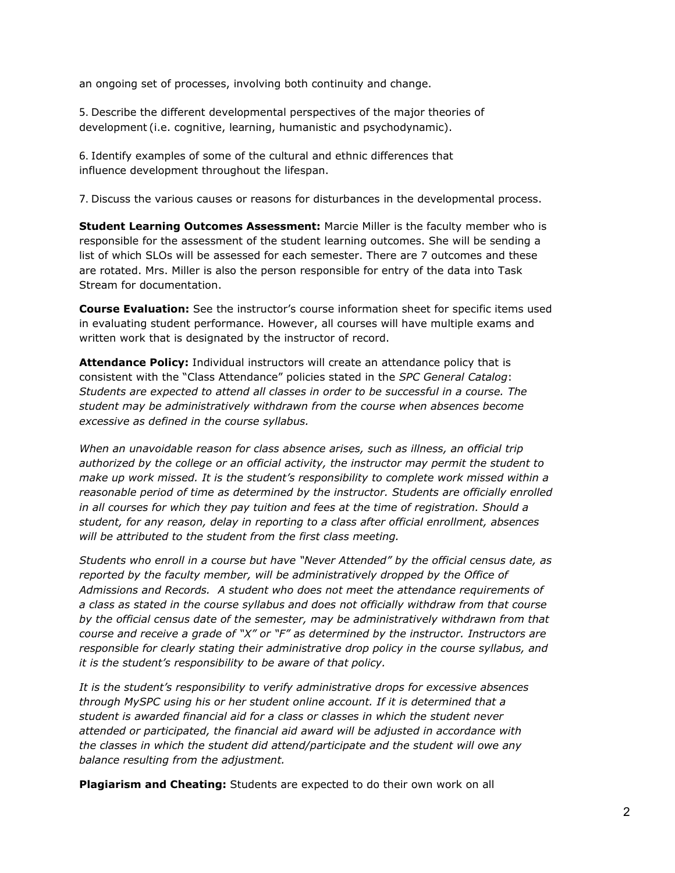an ongoing set of processes, involving both continuity and change.

5. Describe the different developmental perspectives of the major theories of development (i.e. cognitive, learning, humanistic and psychodynamic).

6. Identify examples of some of the cultural and ethnic differences that influence development throughout the lifespan.

7. Discuss the various causes or reasons for disturbances in the developmental process.

**Student Learning Outcomes Assessment:** Marcie Miller is the faculty member who is responsible for the assessment of the student learning outcomes. She will be sending a list of which SLOs will be assessed for each semester. There are 7 outcomes and these are rotated. Mrs. Miller is also the person responsible for entry of the data into Task Stream for documentation.

**Course Evaluation:** See the instructor's course information sheet for specific items used in evaluating student performance. However, all courses will have multiple exams and written work that is designated by the instructor of record.

**Attendance Policy:** Individual instructors will create an attendance policy that is consistent with the "Class Attendance" policies stated in the *SPC General Catalog*: *Students are expected to attend all classes in order to be successful in a course. The student may be administratively withdrawn from the course when absences become excessive as defined in the course syllabus.*

*When an unavoidable reason for class absence arises, such as illness, an official trip authorized by the college or an official activity, the instructor may permit the student to make up work missed. It is the student's responsibility to complete work missed within a reasonable period of time as determined by the instructor. Students are officially enrolled in all courses for which they pay tuition and fees at the time of registration. Should a student, for any reason, delay in reporting to a class after official enrollment, absences will be attributed to the student from the first class meeting.*

*Students who enroll in a course but have "Never Attended" by the official census date, as reported by the faculty member, will be administratively dropped by the Office of Admissions and Records. A student who does not meet the attendance requirements of a class as stated in the course syllabus and does not officially withdraw from that course by the official census date of the semester, may be administratively withdrawn from that course and receive a grade of "X" or "F" as determined by the instructor. Instructors are responsible for clearly stating their administrative drop policy in the course syllabus, and it is the student's responsibility to be aware of that policy.*

*It is the student's responsibility to verify administrative drops for excessive absences through MySPC using his or her student online account. If it is determined that a student is awarded financial aid for a class or classes in which the student never attended or participated, the financial aid award will be adjusted in accordance with the classes in which the student did attend/participate and the student will owe any balance resulting from the adjustment.*

**Plagiarism and Cheating:** Students are expected to do their own work on all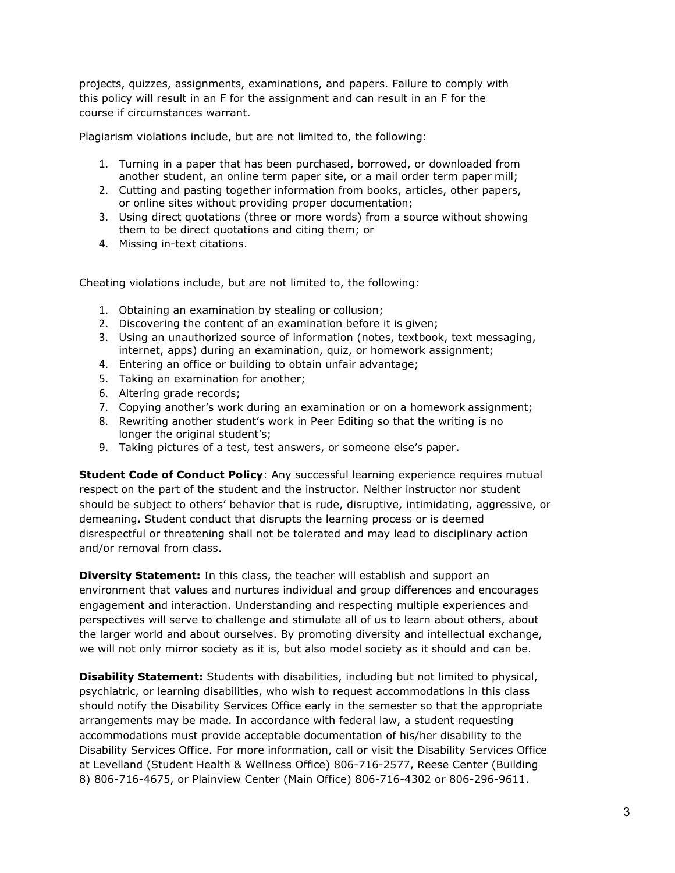projects, quizzes, assignments, examinations, and papers. Failure to comply with this policy will result in an F for the assignment and can result in an F for the course if circumstances warrant.

Plagiarism violations include, but are not limited to, the following:

- 1. Turning in a paper that has been purchased, borrowed, or downloaded from another student, an online term paper site, or a mail order term paper mill;
- 2. Cutting and pasting together information from books, articles, other papers, or online sites without providing proper documentation;
- 3. Using direct quotations (three or more words) from a source without showing them to be direct quotations and citing them; or
- 4. Missing in-text citations.

Cheating violations include, but are not limited to, the following:

- 1. Obtaining an examination by stealing or collusion;
- 2. Discovering the content of an examination before it is given;
- 3. Using an unauthorized source of information (notes, textbook, text messaging, internet, apps) during an examination, quiz, or homework assignment;
- 4. Entering an office or building to obtain unfair advantage;
- 5. Taking an examination for another;
- 6. Altering grade records;
- 7. Copying another's work during an examination or on a homework assignment;
- 8. Rewriting another student's work in Peer Editing so that the writing is no longer the original student's;
- 9. Taking pictures of a test, test answers, or someone else's paper.

**Student Code of Conduct Policy**: Any successful learning experience requires mutual respect on the part of the student and the instructor. Neither instructor nor student should be subject to others' behavior that is rude, disruptive, intimidating, aggressive, or demeaning**.** Student conduct that disrupts the learning process or is deemed disrespectful or threatening shall not be tolerated and may lead to disciplinary action and/or removal from class.

**Diversity Statement:** In this class, the teacher will establish and support an environment that values and nurtures individual and group differences and encourages engagement and interaction. Understanding and respecting multiple experiences and perspectives will serve to challenge and stimulate all of us to learn about others, about the larger world and about ourselves. By promoting diversity and intellectual exchange, we will not only mirror society as it is, but also model society as it should and can be.

**Disability Statement:** Students with disabilities, including but not limited to physical, psychiatric, or learning disabilities, who wish to request accommodations in this class should notify the Disability Services Office early in the semester so that the appropriate arrangements may be made. In accordance with federal law, a student requesting accommodations must provide acceptable documentation of his/her disability to the Disability Services Office. For more information, call or visit the Disability Services Office at Levelland (Student Health & Wellness Office) 806-716-2577, Reese Center (Building 8) 806-716-4675, or Plainview Center (Main Office) 806-716-4302 or 806-296-9611.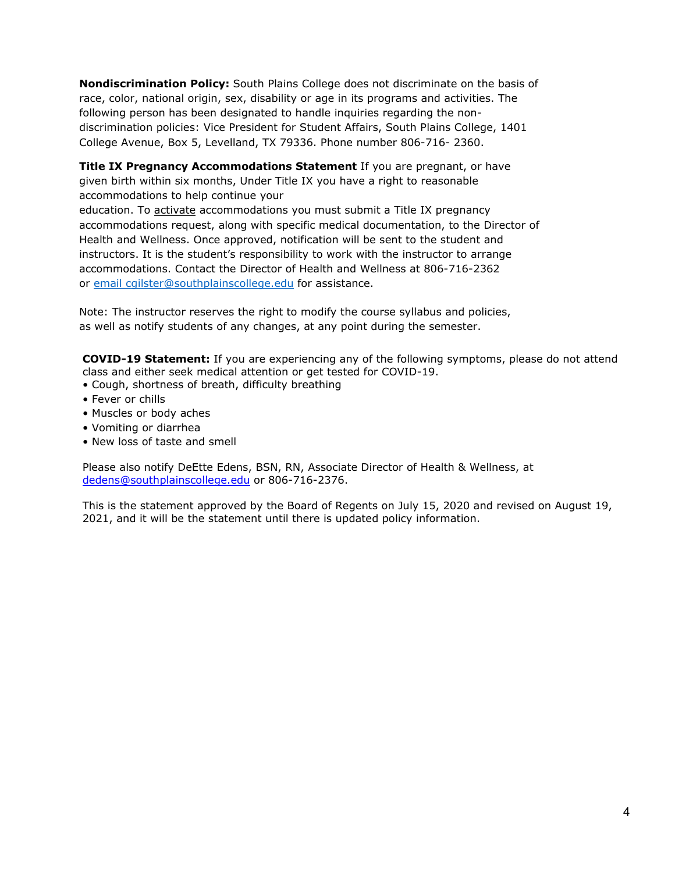**Nondiscrimination Policy:** South Plains College does not discriminate on the basis of race, color, national origin, sex, disability or age in its programs and activities. The following person has been designated to handle inquiries regarding the nondiscrimination policies: Vice President for Student Affairs, South Plains College, 1401 College Avenue, Box 5, Levelland, TX 79336. Phone number 806-716- 2360.

**Title IX Pregnancy Accommodations Statement** If you are pregnant, or have given birth within six months, Under Title IX you have a right to reasonable accommodations to help continue your

education. To activate accommodations you must submit a Title IX pregnancy accommodations request, along with specific medical documentation, to the Director of Health and Wellness. Once approved, notification will be sent to the student and instructors. It is the student's responsibility to work with the instructor to arrange accommodations. Contact the Director of Health and Wellness at 806-716-2362 or [email](http://www.southplainscollege.edu/employees/manualshandbooks/facultyhandbook/sec4.php) [cgilster@southplainscollege.edu](mailto:cgilster@southplainscollege.edu) for assistance.

Note: The instructor reserves the right to modify the course syllabus and policies, as well as notify students of any changes, at any point during the semester.

**COVID-19 Statement:** If you are experiencing any of the following symptoms, please do not attend class and either seek medical attention or get tested for COVID-19.

- Cough, shortness of breath, difficulty breathing
- Fever or chills
- Muscles or body aches
- Vomiting or diarrhea
- New loss of taste and smell

Please also notify DeEtte Edens, BSN, RN, Associate Director of Health & Wellness, at [dedens@southplainscollege.edu](mailto:dedens@southplainscollege.edu) or 806-716-2376.

This is the statement approved by the Board of Regents on July 15, 2020 and revised on August 19, 2021, and it will be the statement until there is updated policy information.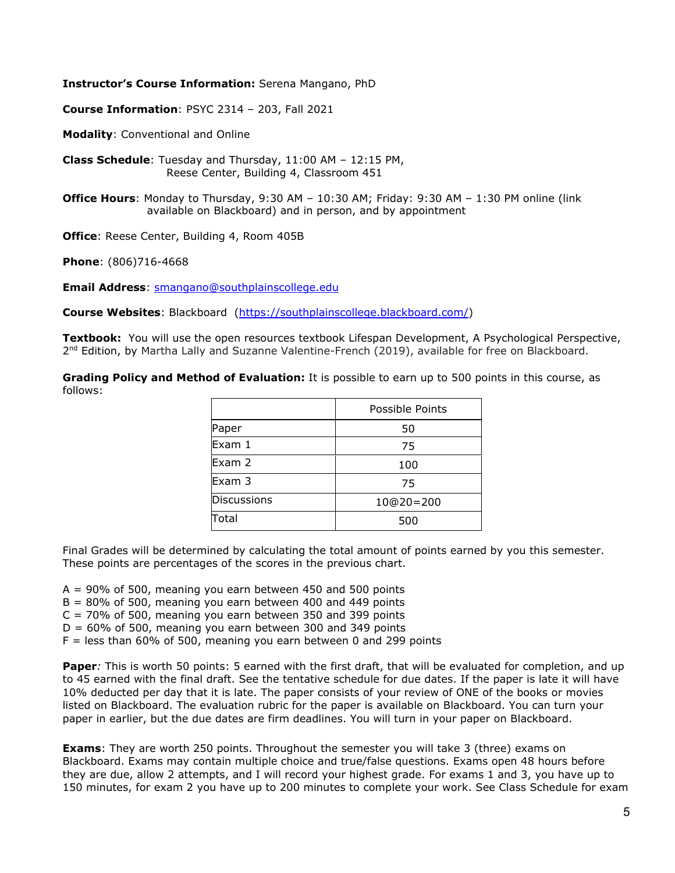#### **Instructor's Course Information:** Serena Mangano, PhD

**Course Information**: PSYC 2314 – 203, Fall 2021

**Modality**: Conventional and Online

**Class Schedule**: Tuesday and Thursday, 11:00 AM – 12:15 PM, Reese Center, Building 4, Classroom 451

**Office Hours**: Monday to Thursday, 9:30 AM – 10:30 AM; Friday: 9:30 AM – 1:30 PM online (link available on Blackboard) and in person, and by appointment

**Office**: Reese Center, Building 4, Room 405B

**Phone**: (806)716-4668

**Email Address**: [smangano@southplainscollege.edu](mailto:smangano@southplainscollege.edu)

**Course Websites**: Blackboard [\(https://southplainscollege.blackboard.com/\)](https://southplainscollege.blackboard.com/)

**Textbook:** You will use the open resources textbook Lifespan Development, A Psychological Perspective, 2<sup>nd</sup> Edition, by Martha Lally and Suzanne Valentine-French (2019), available for free on Blackboard.

**Grading Policy and Method of Evaluation:** It is possible to earn up to 500 points in this course, as follows:

|                    | Possible Points |
|--------------------|-----------------|
| Paper              | 50              |
| Exam 1             | 75              |
| Exam 2             | 100             |
| Exam 3             | 75              |
| <b>Discussions</b> | $10@20=200$     |
| Total              | 500             |

Final Grades will be determined by calculating the total amount of points earned by you this semester. These points are percentages of the scores in the previous chart.

 $A = 90\%$  of 500, meaning you earn between 450 and 500 points

 $B = 80\%$  of 500, meaning you earn between 400 and 449 points

 $C = 70\%$  of 500, meaning you earn between 350 and 399 points

 $D = 60\%$  of 500, meaning you earn between 300 and 349 points

 $F =$  less than 60% of 500, meaning you earn between 0 and 299 points

**Paper***:* This is worth 50 points: 5 earned with the first draft, that will be evaluated for completion, and up to 45 earned with the final draft. See the tentative schedule for due dates. If the paper is late it will have 10% deducted per day that it is late. The paper consists of your review of ONE of the books or movies listed on Blackboard. The evaluation rubric for the paper is available on Blackboard. You can turn your paper in earlier, but the due dates are firm deadlines. You will turn in your paper on Blackboard.

**Exams**: They are worth 250 points. Throughout the semester you will take 3 (three) exams on Blackboard. Exams may contain multiple choice and true/false questions. Exams open 48 hours before they are due, allow 2 attempts, and I will record your highest grade. For exams 1 and 3, you have up to 150 minutes, for exam 2 you have up to 200 minutes to complete your work. See Class Schedule for exam